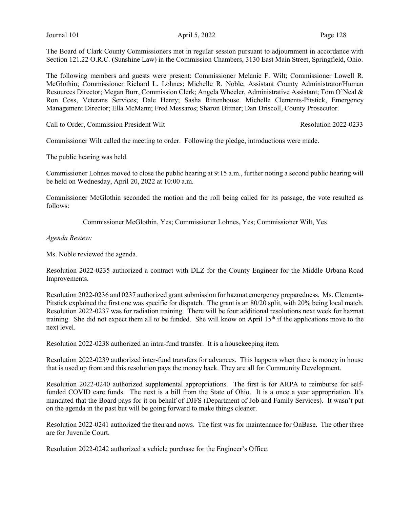The Board of Clark County Commissioners met in regular session pursuant to adjournment in accordance with Section 121.22 O.R.C. (Sunshine Law) in the Commission Chambers, 3130 East Main Street, Springfield, Ohio.

The following members and guests were present: Commissioner Melanie F. Wilt; Commissioner Lowell R. McGlothin; Commissioner Richard L. Lohnes; Michelle R. Noble, Assistant County Administrator/Human Resources Director; Megan Burr, Commission Clerk; Angela Wheeler, Administrative Assistant; Tom O'Neal & Ron Coss, Veterans Services; Dale Henry; Sasha Rittenhouse. Michelle Clements-Pitstick, Emergency Management Director; Ella McMann; Fred Messaros; Sharon Bittner; Dan Driscoll, County Prosecutor.

Call to Order, Commission President Wilt Resolution 2022-0233

Commissioner Wilt called the meeting to order. Following the pledge, introductions were made.

The public hearing was held.

Commissioner Lohnes moved to close the public hearing at 9:15 a.m., further noting a second public hearing will be held on Wednesday, April 20, 2022 at 10:00 a.m.

Commissioner McGlothin seconded the motion and the roll being called for its passage, the vote resulted as follows:

Commissioner McGlothin, Yes; Commissioner Lohnes, Yes; Commissioner Wilt, Yes

#### Agenda Review:

Ms. Noble reviewed the agenda.

Resolution 2022-0235 authorized a contract with DLZ for the County Engineer for the Middle Urbana Road Improvements.

Resolution 2022-0236 and 0237 authorized grant submission for hazmat emergency preparedness. Ms. Clements-Pitstick explained the first one was specific for dispatch. The grant is an 80/20 split, with 20% being local match. Resolution 2022-0237 was for radiation training. There will be four additional resolutions next week for hazmat training. She did not expect them all to be funded. She will know on April 15<sup>th</sup> if the applications move to the next level.

Resolution 2022-0238 authorized an intra-fund transfer. It is a housekeeping item.

Resolution 2022-0239 authorized inter-fund transfers for advances. This happens when there is money in house that is used up front and this resolution pays the money back. They are all for Community Development.

Resolution 2022-0240 authorized supplemental appropriations. The first is for ARPA to reimburse for selffunded COVID care funds. The next is a bill from the State of Ohio. It is a once a year appropriation. It's mandated that the Board pays for it on behalf of DJFS (Department of Job and Family Services). It wasn't put on the agenda in the past but will be going forward to make things cleaner.

Resolution 2022-0241 authorized the then and nows. The first was for maintenance for OnBase. The other three are for Juvenile Court.

Resolution 2022-0242 authorized a vehicle purchase for the Engineer's Office.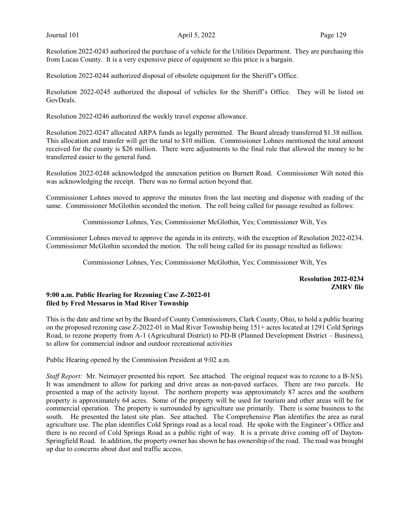Resolution 2022-0243 authorized the purchase of a vehicle for the Utilities Department. They are purchasing this from Lucas County. It is a very expensive piece of equipment so this price is a bargain.

Resolution 2022-0244 authorized disposal of obsolete equipment for the Sheriff's Office.

Resolution 2022-0245 authorized the disposal of vehicles for the Sheriff's Office. They will be listed on GovDeals.

Resolution 2022-0246 authorized the weekly travel expense allowance.

Resolution 2022-0247 allocated ARPA funds as legally permitted. The Board already transferred \$1.38 million. This allocation and transfer will get the total to \$10 million. Commissioner Lohnes mentioned the total amount received for the county is \$26 million. There were adjustments to the final rule that allowed the money to be transferred easier to the general fund.

Resolution 2022-0248 acknowledged the annexation petition on Burnett Road. Commissioner Wilt noted this was acknowledging the receipt. There was no formal action beyond that.

Commissioner Lohnes moved to approve the minutes from the last meeting and dispense with reading of the same. Commissioner McGlothin seconded the motion. The roll being called for passage resulted as follows:

Commissioner Lohnes, Yes; Commissioner McGlothin, Yes; Commissioner Wilt, Yes

Commissioner Lohnes moved to approve the agenda in its entirety, with the exception of Resolution 2022-0234. Commissioner McGlothin seconded the motion. The roll being called for its passage resulted as follows:

Commissioner Lohnes, Yes; Commissioner McGlothin, Yes; Commissioner Wilt, Yes

# Resolution 2022-0234 ZMRV file

### 9:00 a.m. Public Hearing for Rezoning Case Z-2022-01 filed by Fred Messaros in Mad River Township

This is the date and time set by the Board of County Commissioners, Clark County, Ohio, to hold a public hearing on the proposed rezoning case Z-2022-01 in Mad River Township being 151+ acres located at 1291 Cold Springs Road, to rezone property from A-1 (Agricultural District) to PD-B (Planned Development District – Business), to allow for commercial indoor and outdoor recreational activities

Public Hearing opened by the Commission President at 9:02 a.m.

Staff Report: Mr. Neimayer presented his report. See attached. The original request was to rezone to a B-3(S). It was amendment to allow for parking and drive areas as non-paved surfaces. There are two parcels. He presented a map of the activity layout. The northern property was approximately 87 acres and the southern property is approximately 64 acres. Some of the property will be used for tourism and other areas will be for commercial operation. The property is surrounded by agriculture use primarily. There is some business to the south. He presented the latest site plan. See attached. The Comprehensive Plan identifies the area as rural agriculture use. The plan identifies Cold Springs road as a local road. He spoke with the Engineer's Office and there is no record of Cold Springs Road as a public right of way. It is a private drive coming off of Dayton-Springfield Road. In addition, the property owner has shown he has ownership of the road. The road was brought up due to concerns about dust and traffic access.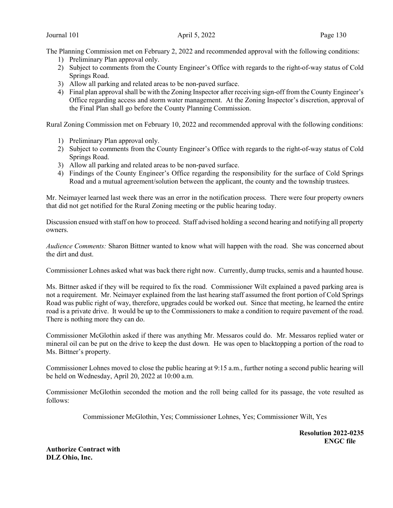The Planning Commission met on February 2, 2022 and recommended approval with the following conditions:

- 1) Preliminary Plan approval only.
- 2) Subject to comments from the County Engineer's Office with regards to the right-of-way status of Cold Springs Road.
- 3) Allow all parking and related areas to be non-paved surface.
- 4) Final plan approval shall be with the Zoning Inspector after receiving sign-off from the County Engineer's Office regarding access and storm water management. At the Zoning Inspector's discretion, approval of the Final Plan shall go before the County Planning Commission.

Rural Zoning Commission met on February 10, 2022 and recommended approval with the following conditions:

- 1) Preliminary Plan approval only.
- 2) Subject to comments from the County Engineer's Office with regards to the right-of-way status of Cold Springs Road.
- 3) Allow all parking and related areas to be non-paved surface.
- 4) Findings of the County Engineer's Office regarding the responsibility for the surface of Cold Springs Road and a mutual agreement/solution between the applicant, the county and the township trustees.

Mr. Neimayer learned last week there was an error in the notification process. There were four property owners that did not get notified for the Rural Zoning meeting or the public hearing today.

Discussion ensued with staff on how to proceed. Staff advised holding a second hearing and notifying all property owners.

Audience Comments: Sharon Bittner wanted to know what will happen with the road. She was concerned about the dirt and dust.

Commissioner Lohnes asked what was back there right now. Currently, dump trucks, semis and a haunted house.

Ms. Bittner asked if they will be required to fix the road. Commissioner Wilt explained a paved parking area is not a requirement. Mr. Neimayer explained from the last hearing staff assumed the front portion of Cold Springs Road was public right of way, therefore, upgrades could be worked out. Since that meeting, he learned the entire road is a private drive. It would be up to the Commissioners to make a condition to require pavement of the road. There is nothing more they can do.

Commissioner McGlothin asked if there was anything Mr. Messaros could do. Mr. Messaros replied water or mineral oil can be put on the drive to keep the dust down. He was open to blacktopping a portion of the road to Ms. Bittner's property.

Commissioner Lohnes moved to close the public hearing at 9:15 a.m., further noting a second public hearing will be held on Wednesday, April 20, 2022 at 10:00 a.m.

Commissioner McGlothin seconded the motion and the roll being called for its passage, the vote resulted as follows:

Commissioner McGlothin, Yes; Commissioner Lohnes, Yes; Commissioner Wilt, Yes

Resolution 2022-0235 ENGC file

Authorize Contract with DLZ Ohio, Inc.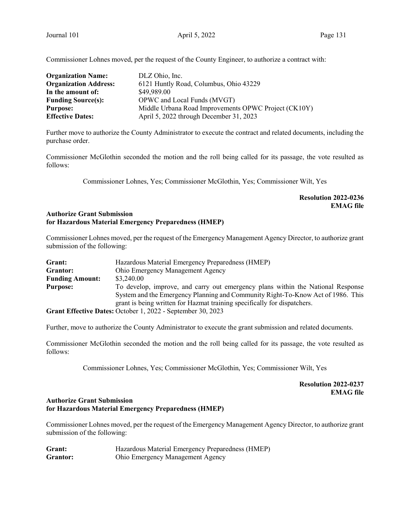Commissioner Lohnes moved, per the request of the County Engineer, to authorize a contract with:

| <b>Organization Name:</b>    | DLZ Ohio, Inc.                                       |
|------------------------------|------------------------------------------------------|
| <b>Organization Address:</b> | 6121 Huntly Road, Columbus, Ohio 43229               |
| In the amount of:            | \$49,989.00                                          |
| <b>Funding Source(s):</b>    | OPWC and Local Funds (MVGT)                          |
| <b>Purpose:</b>              | Middle Urbana Road Improvements OPWC Project (CK10Y) |
| <b>Effective Dates:</b>      | April 5, 2022 through December 31, 2023              |

Further move to authorize the County Administrator to execute the contract and related documents, including the purchase order.

Commissioner McGlothin seconded the motion and the roll being called for its passage, the vote resulted as follows:

Commissioner Lohnes, Yes; Commissioner McGlothin, Yes; Commissioner Wilt, Yes

# Resolution 2022-0236 EMAG file

### Authorize Grant Submission for Hazardous Material Emergency Preparedness (HMEP)

Commissioner Lohnes moved, per the request of the Emergency Management Agency Director, to authorize grant submission of the following:

| Grant:                 | Hazardous Material Emergency Preparedness (HMEP)                                |
|------------------------|---------------------------------------------------------------------------------|
| Grantor:               | Ohio Emergency Management Agency                                                |
| <b>Funding Amount:</b> | \$3,240.00                                                                      |
| <b>Purpose:</b>        | To develop, improve, and carry out emergency plans within the National Response |
|                        | System and the Emergency Planning and Community Right-To-Know Act of 1986. This |
|                        | grant is being written for Hazmat training specifically for dispatchers.        |
|                        | Grant Effective Dates: October 1, 2022 - September 30, 2023                     |

Further, move to authorize the County Administrator to execute the grant submission and related documents.

Commissioner McGlothin seconded the motion and the roll being called for its passage, the vote resulted as follows:

Commissioner Lohnes, Yes; Commissioner McGlothin, Yes; Commissioner Wilt, Yes

Resolution 2022-0237 EMAG file

# Authorize Grant Submission for Hazardous Material Emergency Preparedness (HMEP)

Commissioner Lohnes moved, per the request of the Emergency Management Agency Director, to authorize grant submission of the following:

| Grant:   | Hazardous Material Emergency Preparedness (HMEP) |
|----------|--------------------------------------------------|
| Grantor: | <b>Ohio Emergency Management Agency</b>          |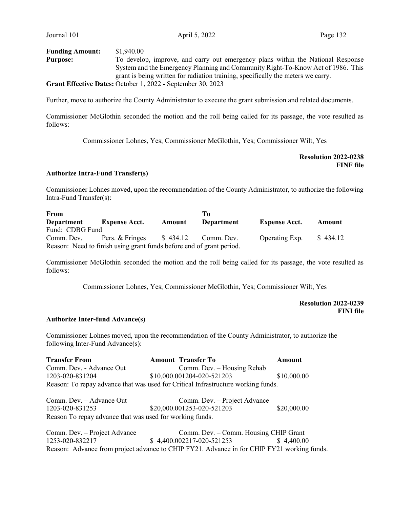| <b>Funding Amount:</b> | \$1,940.00                                                                       |
|------------------------|----------------------------------------------------------------------------------|
| <b>Purpose:</b>        | To develop, improve, and carry out emergency plans within the National Response  |
|                        | System and the Emergency Planning and Community Right-To-Know Act of 1986. This  |
|                        | grant is being written for radiation training, specifically the meters we carry. |
|                        | Grant Effective Dates: October 1, 2022 - September 30, 2023                      |

Further, move to authorize the County Administrator to execute the grant submission and related documents.

Commissioner McGlothin seconded the motion and the roll being called for its passage, the vote resulted as follows:

Commissioner Lohnes, Yes; Commissioner McGlothin, Yes; Commissioner Wilt, Yes

Resolution 2022-0238 FINF file

## Authorize Intra-Fund Transfer(s)

Commissioner Lohnes moved, upon the recommendation of the County Administrator, to authorize the following Intra-Fund Transfer(s):

| From            |                                                                      |        | ľо                   |                      |          |
|-----------------|----------------------------------------------------------------------|--------|----------------------|----------------------|----------|
| Department      | <b>Expense Acct.</b>                                                 | Amount | Department           | <b>Expense Acct.</b> | Amount   |
| Fund: CDBG Fund |                                                                      |        |                      |                      |          |
| Comm. Dev.      | Pers. & Fringes                                                      |        | $$434.12$ Comm. Dev. | Operating Exp.       | \$434.12 |
|                 | Reason: Need to finish using grant funds before end of grant period. |        |                      |                      |          |

Commissioner McGlothin seconded the motion and the roll being called for its passage, the vote resulted as follows:

Commissioner Lohnes, Yes; Commissioner McGlothin, Yes; Commissioner Wilt, Yes

Resolution 2022-0239 FINI file

#### Authorize Inter-fund Advance(s)

Commissioner Lohnes moved, upon the recommendation of the County Administrator, to authorize the following Inter-Fund Advance(s):

| <b>Transfer From</b>                                     | <b>Amount Transfer To</b>                                                         | Amount      |
|----------------------------------------------------------|-----------------------------------------------------------------------------------|-------------|
| Comm. Dev. - Advance Out                                 | Comm. Dev. - Housing Rehab                                                        |             |
| 1203-020-831204                                          | \$10,000.001204-020-521203                                                        | \$10,000.00 |
|                                                          | Reason: To repay advance that was used for Critical Infrastructure working funds. |             |
| Comm. Dev. - Advance Out                                 | Comm. Dev. - Project Advance                                                      |             |
| 1203-020-831253                                          | \$20,000.001253-020-521203                                                        | \$20,000.00 |
| Reason To repay advance that was used for working funds. |                                                                                   |             |
| Comm. Dev. - Project Advance                             | Comm. Dev. - Comm. Housing CHIP Grant                                             |             |
| 1253-020-832217                                          | \$4,400.002217-020-521253                                                         | \$4,400.00  |

Reason: Advance from project advance to CHIP FY21. Advance in for CHIP FY21 working funds.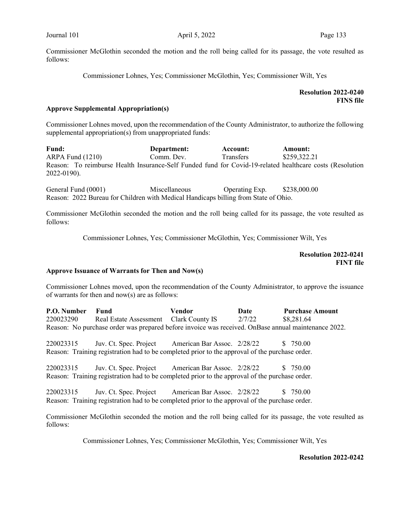Commissioner McGlothin seconded the motion and the roll being called for its passage, the vote resulted as follows:

Commissioner Lohnes, Yes; Commissioner McGlothin, Yes; Commissioner Wilt, Yes

# Resolution 2022-0240 FINS file

### Approve Supplemental Appropriation(s)

Commissioner Lohnes moved, upon the recommendation of the County Administrator, to authorize the following supplemental appropriation(s) from unappropriated funds:

Fund: Department: Account: Amount: ARPA Fund (1210) Comm. Dev. Transfers \$259,322.21 Reason: To reimburse Health Insurance-Self Funded fund for Covid-19-related healthcare costs (Resolution 2022-0190).

General Fund (0001) Miscellaneous Operating Exp. \$238,000.00 Reason: 2022 Bureau for Children with Medical Handicaps billing from State of Ohio.

Commissioner McGlothin seconded the motion and the roll being called for its passage, the vote resulted as follows:

Commissioner Lohnes, Yes; Commissioner McGlothin, Yes; Commissioner Wilt, Yes

 Resolution 2022-0241 FINT file

#### Approve Issuance of Warrants for Then and Now(s)

Commissioner Lohnes moved, upon the recommendation of the County Administrator, to approve the issuance of warrants for then and now(s) are as follows:

P.O. Number Fund Vendor Date Purchase Amount 220023290 Real Estate Assessment Clark County IS 2/7/22 \$8,281.64 Reason: No purchase order was prepared before invoice was received. OnBase annual maintenance 2022.

220023315 Juv. Ct. Spec. Project American Bar Assoc. 2/28/22 \$ 750.00 Reason: Training registration had to be completed prior to the approval of the purchase order.

220023315 Juv. Ct. Spec. Project American Bar Assoc. 2/28/22 \$ 750.00 Reason: Training registration had to be completed prior to the approval of the purchase order.

220023315 Juv. Ct. Spec. Project American Bar Assoc. 2/28/22 \$ 750.00 Reason: Training registration had to be completed prior to the approval of the purchase order.

Commissioner McGlothin seconded the motion and the roll being called for its passage, the vote resulted as follows:

Commissioner Lohnes, Yes; Commissioner McGlothin, Yes; Commissioner Wilt, Yes

#### Resolution 2022-0242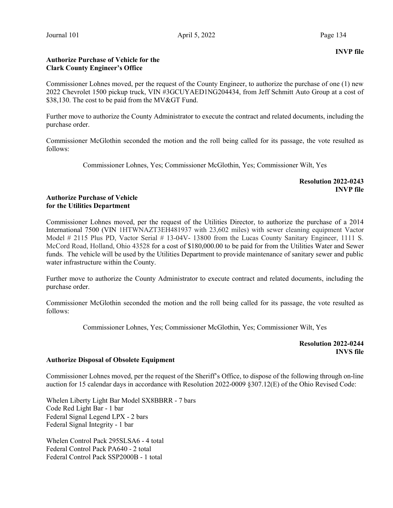# Authorize Purchase of Vehicle for the Clark County Engineer's Office

Commissioner Lohnes moved, per the request of the County Engineer, to authorize the purchase of one (1) new 2022 Chevrolet 1500 pickup truck, VIN #3GCUYAED1NG204434, from Jeff Schmitt Auto Group at a cost of  $$38,130$ . The cost to be paid from the MV&GT Fund.

Further move to authorize the County Administrator to execute the contract and related documents, including the purchase order.

Commissioner McGlothin seconded the motion and the roll being called for its passage, the vote resulted as follows:

Commissioner Lohnes, Yes; Commissioner McGlothin, Yes; Commissioner Wilt, Yes

Resolution 2022-0243 INVP file

### Authorize Purchase of Vehicle for the Utilities Department

Commissioner Lohnes moved, per the request of the Utilities Director, to authorize the purchase of a 2014 International 7500 (VIN 1HTWNAZT3EH481937 with 23,602 miles) with sewer cleaning equipment Vactor Model # 2115 Plus PD, Vactor Serial # 13-04V- 13800 from the Lucas County Sanitary Engineer, 1111 S. McCord Road, Holland, Ohio 43528 for a cost of \$180,000.00 to be paid for from the Utilities Water and Sewer funds. The vehicle will be used by the Utilities Department to provide maintenance of sanitary sewer and public water infrastructure within the County.

Further move to authorize the County Administrator to execute contract and related documents, including the purchase order.

Commissioner McGlothin seconded the motion and the roll being called for its passage, the vote resulted as follows:

Commissioner Lohnes, Yes; Commissioner McGlothin, Yes; Commissioner Wilt, Yes

Resolution 2022-0244 INVS file

## Authorize Disposal of Obsolete Equipment

Commissioner Lohnes moved, per the request of the Sheriff's Office, to dispose of the following through on-line auction for 15 calendar days in accordance with Resolution 2022-0009 §307.12(E) of the Ohio Revised Code:

Whelen Liberty Light Bar Model SX8BBRR - 7 bars Code Red Light Bar - 1 bar Federal Signal Legend LPX - 2 bars Federal Signal Integrity - 1 bar

Whelen Control Pack 295SLSA6 - 4 total Federal Control Pack PA640 - 2 total Federal Control Pack SSP2000B - 1 total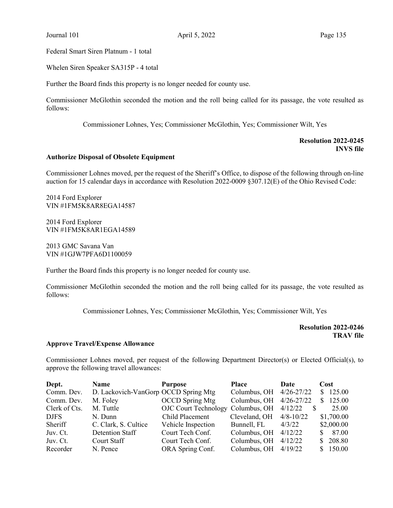Federal Smart Siren Platnum - 1 total

Whelen Siren Speaker SA315P - 4 total

Further the Board finds this property is no longer needed for county use.

Commissioner McGlothin seconded the motion and the roll being called for its passage, the vote resulted as follows:

Commissioner Lohnes, Yes; Commissioner McGlothin, Yes; Commissioner Wilt, Yes

## Resolution 2022-0245 INVS file

#### Authorize Disposal of Obsolete Equipment

Commissioner Lohnes moved, per the request of the Sheriff's Office, to dispose of the following through on-line auction for 15 calendar days in accordance with Resolution 2022-0009 §307.12(E) of the Ohio Revised Code:

2014 Ford Explorer VIN #1FM5K8AR8EGA14587

2014 Ford Explorer VIN #1FM5K8AR1EGA14589

2013 GMC Savana Van VIN #1GJW7PFA6D1100059

Further the Board finds this property is no longer needed for county use.

Commissioner McGlothin seconded the motion and the roll being called for its passage, the vote resulted as follows:

Commissioner Lohnes, Yes; Commissioner McGlothin, Yes; Commissioner Wilt, Yes

Resolution 2022-0246 TRAV file

#### Approve Travel/Expense Allowance

Commissioner Lohnes moved, per request of the following Department Director(s) or Elected Official(s), to approve the following travel allowances:

| Dept.         | Name                                 | <b>Purpose</b>                            | Place                     | Date    | Cost       |
|---------------|--------------------------------------|-------------------------------------------|---------------------------|---------|------------|
| Comm. Dev.    | D. Lackovich-VanGorp OCCD Spring Mtg |                                           | Columbus, OH $4/26-27/22$ |         | \$125.00   |
| Comm. Dev.    | M. Foley                             | <b>OCCD</b> Spring Mtg                    | Columbus, OH 4/26-27/22   |         | \$125.00   |
| Clerk of Cts. | M. Tuttle                            | OJC Court Technology Columbus, OH 4/12/22 |                           | \$      | 25.00      |
| <b>DJFS</b>   | N. Dunn                              | Child Placement                           | Cleveland, OH $4/8-10/22$ |         | \$1,700.00 |
| Sheriff       | C. Clark, S. Cultice                 | Vehicle Inspection                        | Bunnell, FL               | 4/3/22  | \$2,000.00 |
| Juv. Ct.      | Detention Staff                      | Court Tech Conf.                          | Columbus, OH              | 4/12/22 | \$87.00    |
| Juv. Ct.      | Court Staff                          | Court Tech Conf.                          | Columbus, OH              | 4/12/22 | \$208.80   |
| Recorder      | N. Pence                             | ORA Spring Conf.                          | Columbus, OH $4/19/22$    |         | \$150.00   |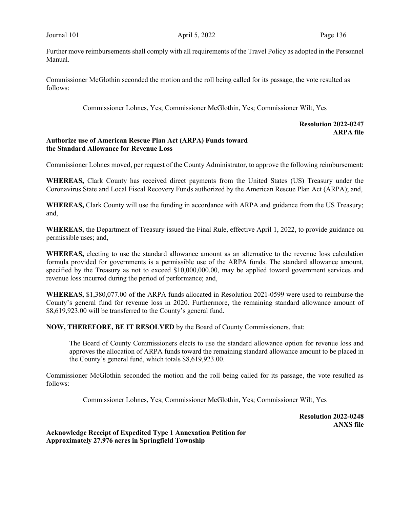Further move reimbursements shall comply with all requirements of the Travel Policy as adopted in the Personnel Manual.

Commissioner McGlothin seconded the motion and the roll being called for its passage, the vote resulted as follows:

Commissioner Lohnes, Yes; Commissioner McGlothin, Yes; Commissioner Wilt, Yes

# Resolution 2022-0247 ARPA file

### Authorize use of American Rescue Plan Act (ARPA) Funds toward the Standard Allowance for Revenue Loss

Commissioner Lohnes moved, per request of the County Administrator, to approve the following reimbursement:

WHEREAS, Clark County has received direct payments from the United States (US) Treasury under the Coronavirus State and Local Fiscal Recovery Funds authorized by the American Rescue Plan Act (ARPA); and,

WHEREAS, Clark County will use the funding in accordance with ARPA and guidance from the US Treasury; and,

WHEREAS, the Department of Treasury issued the Final Rule, effective April 1, 2022, to provide guidance on permissible uses; and,

WHEREAS, electing to use the standard allowance amount as an alternative to the revenue loss calculation formula provided for governments is a permissible use of the ARPA funds. The standard allowance amount, specified by the Treasury as not to exceed \$10,000,000.00, may be applied toward government services and revenue loss incurred during the period of performance; and,

WHEREAS, \$1,380,077.00 of the ARPA funds allocated in Resolution 2021-0599 were used to reimburse the County's general fund for revenue loss in 2020. Furthermore, the remaining standard allowance amount of \$8,619,923.00 will be transferred to the County's general fund.

NOW, THEREFORE, BE IT RESOLVED by the Board of County Commissioners, that:

The Board of County Commissioners elects to use the standard allowance option for revenue loss and approves the allocation of ARPA funds toward the remaining standard allowance amount to be placed in the County's general fund, which totals \$8,619,923.00.

Commissioner McGlothin seconded the motion and the roll being called for its passage, the vote resulted as follows:

Commissioner Lohnes, Yes; Commissioner McGlothin, Yes; Commissioner Wilt, Yes

Resolution 2022-0248 ANXS file

Acknowledge Receipt of Expedited Type 1 Annexation Petition for Approximately 27.976 acres in Springfield Township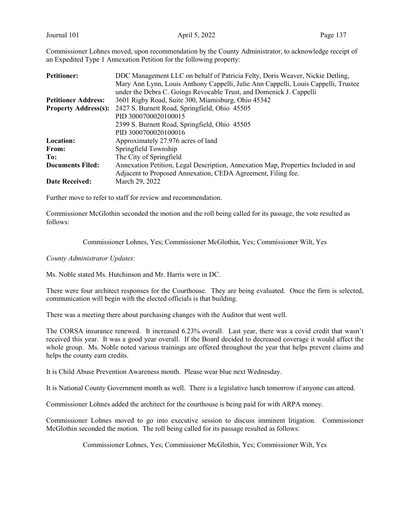Commissioner Lohnes moved, upon recommendation by the County Administrator, to acknowledge receipt of an Expedited Type 1 Annexation Petition for the following property:

| <b>Petitioner:</b>          | DDC Management LLC on behalf of Patricia Felty, Doris Weaver, Nickie Detling,      |  |  |
|-----------------------------|------------------------------------------------------------------------------------|--|--|
|                             | Mary Ann Lynn, Louis Anthony Cappelli, Julie Ann Cappelli, Louis Cappelli, Trustee |  |  |
|                             | under the Debra C. Goings Revocable Trust, and Domenick J. Cappelli                |  |  |
| <b>Petitioner Address:</b>  | 3601 Rigby Road, Suite 300, Miamisburg, Ohio 45342                                 |  |  |
| <b>Property Address(s):</b> | 2427 S. Burnett Road, Springfield, Ohio 45505                                      |  |  |
|                             | PID 3000700020100015                                                               |  |  |
|                             | 2399 S. Burnett Road, Springfield, Ohio 45505                                      |  |  |
|                             | PID 3000700020100016                                                               |  |  |
| <b>Location:</b>            | Approximately 27.976 acres of land                                                 |  |  |
| From:                       | Springfield Township                                                               |  |  |
| To:                         | The City of Springfield                                                            |  |  |
| <b>Documents Filed:</b>     | Annexation Petition, Legal Description, Annexation Map, Properties Included in and |  |  |
|                             | Adjacent to Proposed Annexation, CEDA Agreement, Filing fee.                       |  |  |
| <b>Date Received:</b>       | March 29, 2022                                                                     |  |  |

Further move to refer to staff for review and recommendation.

Commissioner McGlothin seconded the motion and the roll being called for its passage, the vote resulted as follows:

Commissioner Lohnes, Yes; Commissioner McGlothin, Yes; Commissioner Wilt, Yes

County Administrator Updates:

Ms. Noble stated Ms. Hutchinson and Mr. Harris were in DC.

There were four architect responses for the Courthouse. They are being evaluated. Once the firm is selected, communication will begin with the elected officials is that building.

There was a meeting there about purchasing changes with the Auditor that went well.

The CORSA insurance renewed. It increased 6.23% overall. Last year, there was a covid credit that wasn't received this year. It was a good year overall. If the Board decided to decreased coverage it would affect the whole group. Ms. Noble noted various trainings are offered throughout the year that helps prevent claims and helps the county earn credits.

It is Child Abuse Prevention Awareness month. Please wear blue next Wednesday.

It is National County Government month as well. There is a legislative lunch tomorrow if anyone can attend.

Commissioner Lohnes added the architect for the courthouse is being paid for with ARPA money.

Commissioner Lohnes moved to go into executive session to discuss imminent litigation. Commissioner McGlothin seconded the motion. The roll being called for its passage resulted as follows:

Commissioner Lohnes, Yes; Commissioner McGlothin, Yes; Commissioner Wilt, Yes